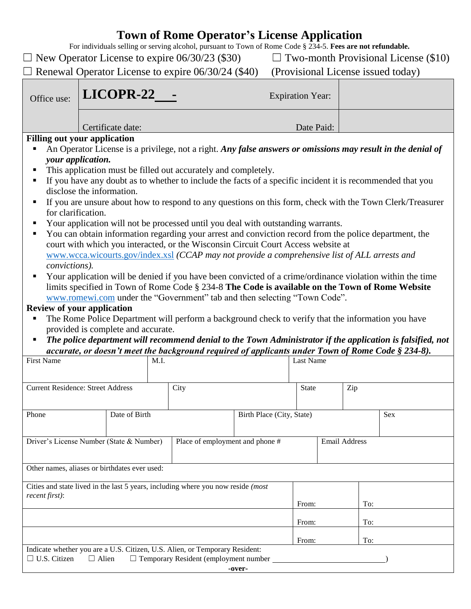## **Town of Rome Operator's License Application**

For individuals selling or serving alcohol, pursuant to Town of Rome Code § 234-5. **Fees are not refundable.**

| $\Box$ Renewal Operator License to expire 06/30/24 (\$40)<br>(Provisional License issued today)<br>LICOPR-22<br><b>Expiration Year:</b><br>Office use:<br>Date Paid:<br>Certificate date:<br><b>Filling out your application</b><br>An Operator License is a privilege, not a right. Any false answers or omissions may result in the denial of<br>ш<br>your application.<br>This application must be filled out accurately and completely.<br>If you have any doubt as to whether to include the facts of a specific incident it is recommended that you<br>п<br>disclose the information.<br>If you are unsure about how to respond to any questions on this form, check with the Town Clerk/Treasurer<br>п<br>for clarification.<br>Your application will not be processed until you deal with outstanding warrants.<br>You can obtain information regarding your arrest and conviction record from the police department, the<br>п<br>court with which you interacted, or the Wisconsin Circuit Court Access website at<br>www.wcca.wicourts.gov/index.xsl (CCAP may not provide a comprehensive list of ALL arrests and<br>convictions).<br>Your application will be denied if you have been convicted of a crime/ordinance violation within the time<br>limits specified in Town of Rome Code § 234-8 The Code is available on the Town of Rome Website<br>www.romewi.com under the "Government" tab and then selecting "Town Code".<br><b>Review of your application</b><br>The Rome Police Department will perform a background check to verify that the information you have<br>Ξ<br>provided is complete and accurate.<br>The police department will recommend denial to the Town Administrator if the application is falsified, not<br>п<br>accurate, or doesn't meet the background required of applicants under Town of Rome Code § 234-8).<br><b>First Name</b><br>M.I.<br><b>Last Name</b><br><b>Current Residence: Street Address</b><br>City<br>Zip<br><b>State</b><br>Date of Birth<br>Phone<br>Birth Place (City, State)<br>Sex<br>Email Address<br>Driver's License Number (State & Number)<br>Place of employment and phone #<br>Other names, aliases or birthdates ever used:<br>Cities and state lived in the last 5 years, including where you now reside (most<br>recent first):<br>To:<br>From:<br>To:<br>From:<br>To:<br>From:<br>Indicate whether you are a U.S. Citizen, U.S. Alien, or Temporary Resident:<br>$\Box$ U.S. Citizen<br>$\Box$ Temporary Resident (employment number<br>$\Box$ Alien<br>-over- | $\Box$ New Operator License to expire 06/30/23 (\$30) |  | $\Box$ Two-month Provisional License (\$10) |  |  |  |  |  |  |  |  |
|-------------------------------------------------------------------------------------------------------------------------------------------------------------------------------------------------------------------------------------------------------------------------------------------------------------------------------------------------------------------------------------------------------------------------------------------------------------------------------------------------------------------------------------------------------------------------------------------------------------------------------------------------------------------------------------------------------------------------------------------------------------------------------------------------------------------------------------------------------------------------------------------------------------------------------------------------------------------------------------------------------------------------------------------------------------------------------------------------------------------------------------------------------------------------------------------------------------------------------------------------------------------------------------------------------------------------------------------------------------------------------------------------------------------------------------------------------------------------------------------------------------------------------------------------------------------------------------------------------------------------------------------------------------------------------------------------------------------------------------------------------------------------------------------------------------------------------------------------------------------------------------------------------------------------------------------------------------------------------------------------------------------------------------------------------------------------------------------------------------------------------------------------------------------------------------------------------------------------------------------------------------------------------------------------------------------------------------------------------------------------------------------------------------------------------------------------------------------------------------------------------------------------------------------|-------------------------------------------------------|--|---------------------------------------------|--|--|--|--|--|--|--|--|
|                                                                                                                                                                                                                                                                                                                                                                                                                                                                                                                                                                                                                                                                                                                                                                                                                                                                                                                                                                                                                                                                                                                                                                                                                                                                                                                                                                                                                                                                                                                                                                                                                                                                                                                                                                                                                                                                                                                                                                                                                                                                                                                                                                                                                                                                                                                                                                                                                                                                                                                                           |                                                       |  |                                             |  |  |  |  |  |  |  |  |
|                                                                                                                                                                                                                                                                                                                                                                                                                                                                                                                                                                                                                                                                                                                                                                                                                                                                                                                                                                                                                                                                                                                                                                                                                                                                                                                                                                                                                                                                                                                                                                                                                                                                                                                                                                                                                                                                                                                                                                                                                                                                                                                                                                                                                                                                                                                                                                                                                                                                                                                                           |                                                       |  |                                             |  |  |  |  |  |  |  |  |
|                                                                                                                                                                                                                                                                                                                                                                                                                                                                                                                                                                                                                                                                                                                                                                                                                                                                                                                                                                                                                                                                                                                                                                                                                                                                                                                                                                                                                                                                                                                                                                                                                                                                                                                                                                                                                                                                                                                                                                                                                                                                                                                                                                                                                                                                                                                                                                                                                                                                                                                                           |                                                       |  |                                             |  |  |  |  |  |  |  |  |
|                                                                                                                                                                                                                                                                                                                                                                                                                                                                                                                                                                                                                                                                                                                                                                                                                                                                                                                                                                                                                                                                                                                                                                                                                                                                                                                                                                                                                                                                                                                                                                                                                                                                                                                                                                                                                                                                                                                                                                                                                                                                                                                                                                                                                                                                                                                                                                                                                                                                                                                                           |                                                       |  |                                             |  |  |  |  |  |  |  |  |
|                                                                                                                                                                                                                                                                                                                                                                                                                                                                                                                                                                                                                                                                                                                                                                                                                                                                                                                                                                                                                                                                                                                                                                                                                                                                                                                                                                                                                                                                                                                                                                                                                                                                                                                                                                                                                                                                                                                                                                                                                                                                                                                                                                                                                                                                                                                                                                                                                                                                                                                                           |                                                       |  |                                             |  |  |  |  |  |  |  |  |
|                                                                                                                                                                                                                                                                                                                                                                                                                                                                                                                                                                                                                                                                                                                                                                                                                                                                                                                                                                                                                                                                                                                                                                                                                                                                                                                                                                                                                                                                                                                                                                                                                                                                                                                                                                                                                                                                                                                                                                                                                                                                                                                                                                                                                                                                                                                                                                                                                                                                                                                                           |                                                       |  |                                             |  |  |  |  |  |  |  |  |
|                                                                                                                                                                                                                                                                                                                                                                                                                                                                                                                                                                                                                                                                                                                                                                                                                                                                                                                                                                                                                                                                                                                                                                                                                                                                                                                                                                                                                                                                                                                                                                                                                                                                                                                                                                                                                                                                                                                                                                                                                                                                                                                                                                                                                                                                                                                                                                                                                                                                                                                                           |                                                       |  |                                             |  |  |  |  |  |  |  |  |
|                                                                                                                                                                                                                                                                                                                                                                                                                                                                                                                                                                                                                                                                                                                                                                                                                                                                                                                                                                                                                                                                                                                                                                                                                                                                                                                                                                                                                                                                                                                                                                                                                                                                                                                                                                                                                                                                                                                                                                                                                                                                                                                                                                                                                                                                                                                                                                                                                                                                                                                                           |                                                       |  |                                             |  |  |  |  |  |  |  |  |
|                                                                                                                                                                                                                                                                                                                                                                                                                                                                                                                                                                                                                                                                                                                                                                                                                                                                                                                                                                                                                                                                                                                                                                                                                                                                                                                                                                                                                                                                                                                                                                                                                                                                                                                                                                                                                                                                                                                                                                                                                                                                                                                                                                                                                                                                                                                                                                                                                                                                                                                                           |                                                       |  |                                             |  |  |  |  |  |  |  |  |
|                                                                                                                                                                                                                                                                                                                                                                                                                                                                                                                                                                                                                                                                                                                                                                                                                                                                                                                                                                                                                                                                                                                                                                                                                                                                                                                                                                                                                                                                                                                                                                                                                                                                                                                                                                                                                                                                                                                                                                                                                                                                                                                                                                                                                                                                                                                                                                                                                                                                                                                                           |                                                       |  |                                             |  |  |  |  |  |  |  |  |
|                                                                                                                                                                                                                                                                                                                                                                                                                                                                                                                                                                                                                                                                                                                                                                                                                                                                                                                                                                                                                                                                                                                                                                                                                                                                                                                                                                                                                                                                                                                                                                                                                                                                                                                                                                                                                                                                                                                                                                                                                                                                                                                                                                                                                                                                                                                                                                                                                                                                                                                                           |                                                       |  |                                             |  |  |  |  |  |  |  |  |
|                                                                                                                                                                                                                                                                                                                                                                                                                                                                                                                                                                                                                                                                                                                                                                                                                                                                                                                                                                                                                                                                                                                                                                                                                                                                                                                                                                                                                                                                                                                                                                                                                                                                                                                                                                                                                                                                                                                                                                                                                                                                                                                                                                                                                                                                                                                                                                                                                                                                                                                                           |                                                       |  |                                             |  |  |  |  |  |  |  |  |
|                                                                                                                                                                                                                                                                                                                                                                                                                                                                                                                                                                                                                                                                                                                                                                                                                                                                                                                                                                                                                                                                                                                                                                                                                                                                                                                                                                                                                                                                                                                                                                                                                                                                                                                                                                                                                                                                                                                                                                                                                                                                                                                                                                                                                                                                                                                                                                                                                                                                                                                                           |                                                       |  |                                             |  |  |  |  |  |  |  |  |
|                                                                                                                                                                                                                                                                                                                                                                                                                                                                                                                                                                                                                                                                                                                                                                                                                                                                                                                                                                                                                                                                                                                                                                                                                                                                                                                                                                                                                                                                                                                                                                                                                                                                                                                                                                                                                                                                                                                                                                                                                                                                                                                                                                                                                                                                                                                                                                                                                                                                                                                                           |                                                       |  |                                             |  |  |  |  |  |  |  |  |
|                                                                                                                                                                                                                                                                                                                                                                                                                                                                                                                                                                                                                                                                                                                                                                                                                                                                                                                                                                                                                                                                                                                                                                                                                                                                                                                                                                                                                                                                                                                                                                                                                                                                                                                                                                                                                                                                                                                                                                                                                                                                                                                                                                                                                                                                                                                                                                                                                                                                                                                                           |                                                       |  |                                             |  |  |  |  |  |  |  |  |
|                                                                                                                                                                                                                                                                                                                                                                                                                                                                                                                                                                                                                                                                                                                                                                                                                                                                                                                                                                                                                                                                                                                                                                                                                                                                                                                                                                                                                                                                                                                                                                                                                                                                                                                                                                                                                                                                                                                                                                                                                                                                                                                                                                                                                                                                                                                                                                                                                                                                                                                                           |                                                       |  |                                             |  |  |  |  |  |  |  |  |
|                                                                                                                                                                                                                                                                                                                                                                                                                                                                                                                                                                                                                                                                                                                                                                                                                                                                                                                                                                                                                                                                                                                                                                                                                                                                                                                                                                                                                                                                                                                                                                                                                                                                                                                                                                                                                                                                                                                                                                                                                                                                                                                                                                                                                                                                                                                                                                                                                                                                                                                                           |                                                       |  |                                             |  |  |  |  |  |  |  |  |
|                                                                                                                                                                                                                                                                                                                                                                                                                                                                                                                                                                                                                                                                                                                                                                                                                                                                                                                                                                                                                                                                                                                                                                                                                                                                                                                                                                                                                                                                                                                                                                                                                                                                                                                                                                                                                                                                                                                                                                                                                                                                                                                                                                                                                                                                                                                                                                                                                                                                                                                                           |                                                       |  |                                             |  |  |  |  |  |  |  |  |
|                                                                                                                                                                                                                                                                                                                                                                                                                                                                                                                                                                                                                                                                                                                                                                                                                                                                                                                                                                                                                                                                                                                                                                                                                                                                                                                                                                                                                                                                                                                                                                                                                                                                                                                                                                                                                                                                                                                                                                                                                                                                                                                                                                                                                                                                                                                                                                                                                                                                                                                                           |                                                       |  |                                             |  |  |  |  |  |  |  |  |
|                                                                                                                                                                                                                                                                                                                                                                                                                                                                                                                                                                                                                                                                                                                                                                                                                                                                                                                                                                                                                                                                                                                                                                                                                                                                                                                                                                                                                                                                                                                                                                                                                                                                                                                                                                                                                                                                                                                                                                                                                                                                                                                                                                                                                                                                                                                                                                                                                                                                                                                                           |                                                       |  |                                             |  |  |  |  |  |  |  |  |
|                                                                                                                                                                                                                                                                                                                                                                                                                                                                                                                                                                                                                                                                                                                                                                                                                                                                                                                                                                                                                                                                                                                                                                                                                                                                                                                                                                                                                                                                                                                                                                                                                                                                                                                                                                                                                                                                                                                                                                                                                                                                                                                                                                                                                                                                                                                                                                                                                                                                                                                                           |                                                       |  |                                             |  |  |  |  |  |  |  |  |
|                                                                                                                                                                                                                                                                                                                                                                                                                                                                                                                                                                                                                                                                                                                                                                                                                                                                                                                                                                                                                                                                                                                                                                                                                                                                                                                                                                                                                                                                                                                                                                                                                                                                                                                                                                                                                                                                                                                                                                                                                                                                                                                                                                                                                                                                                                                                                                                                                                                                                                                                           |                                                       |  |                                             |  |  |  |  |  |  |  |  |
|                                                                                                                                                                                                                                                                                                                                                                                                                                                                                                                                                                                                                                                                                                                                                                                                                                                                                                                                                                                                                                                                                                                                                                                                                                                                                                                                                                                                                                                                                                                                                                                                                                                                                                                                                                                                                                                                                                                                                                                                                                                                                                                                                                                                                                                                                                                                                                                                                                                                                                                                           |                                                       |  |                                             |  |  |  |  |  |  |  |  |
|                                                                                                                                                                                                                                                                                                                                                                                                                                                                                                                                                                                                                                                                                                                                                                                                                                                                                                                                                                                                                                                                                                                                                                                                                                                                                                                                                                                                                                                                                                                                                                                                                                                                                                                                                                                                                                                                                                                                                                                                                                                                                                                                                                                                                                                                                                                                                                                                                                                                                                                                           |                                                       |  |                                             |  |  |  |  |  |  |  |  |
|                                                                                                                                                                                                                                                                                                                                                                                                                                                                                                                                                                                                                                                                                                                                                                                                                                                                                                                                                                                                                                                                                                                                                                                                                                                                                                                                                                                                                                                                                                                                                                                                                                                                                                                                                                                                                                                                                                                                                                                                                                                                                                                                                                                                                                                                                                                                                                                                                                                                                                                                           |                                                       |  |                                             |  |  |  |  |  |  |  |  |
|                                                                                                                                                                                                                                                                                                                                                                                                                                                                                                                                                                                                                                                                                                                                                                                                                                                                                                                                                                                                                                                                                                                                                                                                                                                                                                                                                                                                                                                                                                                                                                                                                                                                                                                                                                                                                                                                                                                                                                                                                                                                                                                                                                                                                                                                                                                                                                                                                                                                                                                                           |                                                       |  |                                             |  |  |  |  |  |  |  |  |
|                                                                                                                                                                                                                                                                                                                                                                                                                                                                                                                                                                                                                                                                                                                                                                                                                                                                                                                                                                                                                                                                                                                                                                                                                                                                                                                                                                                                                                                                                                                                                                                                                                                                                                                                                                                                                                                                                                                                                                                                                                                                                                                                                                                                                                                                                                                                                                                                                                                                                                                                           |                                                       |  |                                             |  |  |  |  |  |  |  |  |
|                                                                                                                                                                                                                                                                                                                                                                                                                                                                                                                                                                                                                                                                                                                                                                                                                                                                                                                                                                                                                                                                                                                                                                                                                                                                                                                                                                                                                                                                                                                                                                                                                                                                                                                                                                                                                                                                                                                                                                                                                                                                                                                                                                                                                                                                                                                                                                                                                                                                                                                                           |                                                       |  |                                             |  |  |  |  |  |  |  |  |
|                                                                                                                                                                                                                                                                                                                                                                                                                                                                                                                                                                                                                                                                                                                                                                                                                                                                                                                                                                                                                                                                                                                                                                                                                                                                                                                                                                                                                                                                                                                                                                                                                                                                                                                                                                                                                                                                                                                                                                                                                                                                                                                                                                                                                                                                                                                                                                                                                                                                                                                                           |                                                       |  |                                             |  |  |  |  |  |  |  |  |
|                                                                                                                                                                                                                                                                                                                                                                                                                                                                                                                                                                                                                                                                                                                                                                                                                                                                                                                                                                                                                                                                                                                                                                                                                                                                                                                                                                                                                                                                                                                                                                                                                                                                                                                                                                                                                                                                                                                                                                                                                                                                                                                                                                                                                                                                                                                                                                                                                                                                                                                                           |                                                       |  |                                             |  |  |  |  |  |  |  |  |
|                                                                                                                                                                                                                                                                                                                                                                                                                                                                                                                                                                                                                                                                                                                                                                                                                                                                                                                                                                                                                                                                                                                                                                                                                                                                                                                                                                                                                                                                                                                                                                                                                                                                                                                                                                                                                                                                                                                                                                                                                                                                                                                                                                                                                                                                                                                                                                                                                                                                                                                                           |                                                       |  |                                             |  |  |  |  |  |  |  |  |
|                                                                                                                                                                                                                                                                                                                                                                                                                                                                                                                                                                                                                                                                                                                                                                                                                                                                                                                                                                                                                                                                                                                                                                                                                                                                                                                                                                                                                                                                                                                                                                                                                                                                                                                                                                                                                                                                                                                                                                                                                                                                                                                                                                                                                                                                                                                                                                                                                                                                                                                                           |                                                       |  |                                             |  |  |  |  |  |  |  |  |
|                                                                                                                                                                                                                                                                                                                                                                                                                                                                                                                                                                                                                                                                                                                                                                                                                                                                                                                                                                                                                                                                                                                                                                                                                                                                                                                                                                                                                                                                                                                                                                                                                                                                                                                                                                                                                                                                                                                                                                                                                                                                                                                                                                                                                                                                                                                                                                                                                                                                                                                                           |                                                       |  |                                             |  |  |  |  |  |  |  |  |
|                                                                                                                                                                                                                                                                                                                                                                                                                                                                                                                                                                                                                                                                                                                                                                                                                                                                                                                                                                                                                                                                                                                                                                                                                                                                                                                                                                                                                                                                                                                                                                                                                                                                                                                                                                                                                                                                                                                                                                                                                                                                                                                                                                                                                                                                                                                                                                                                                                                                                                                                           |                                                       |  |                                             |  |  |  |  |  |  |  |  |
|                                                                                                                                                                                                                                                                                                                                                                                                                                                                                                                                                                                                                                                                                                                                                                                                                                                                                                                                                                                                                                                                                                                                                                                                                                                                                                                                                                                                                                                                                                                                                                                                                                                                                                                                                                                                                                                                                                                                                                                                                                                                                                                                                                                                                                                                                                                                                                                                                                                                                                                                           |                                                       |  |                                             |  |  |  |  |  |  |  |  |
|                                                                                                                                                                                                                                                                                                                                                                                                                                                                                                                                                                                                                                                                                                                                                                                                                                                                                                                                                                                                                                                                                                                                                                                                                                                                                                                                                                                                                                                                                                                                                                                                                                                                                                                                                                                                                                                                                                                                                                                                                                                                                                                                                                                                                                                                                                                                                                                                                                                                                                                                           |                                                       |  |                                             |  |  |  |  |  |  |  |  |
|                                                                                                                                                                                                                                                                                                                                                                                                                                                                                                                                                                                                                                                                                                                                                                                                                                                                                                                                                                                                                                                                                                                                                                                                                                                                                                                                                                                                                                                                                                                                                                                                                                                                                                                                                                                                                                                                                                                                                                                                                                                                                                                                                                                                                                                                                                                                                                                                                                                                                                                                           |                                                       |  |                                             |  |  |  |  |  |  |  |  |
|                                                                                                                                                                                                                                                                                                                                                                                                                                                                                                                                                                                                                                                                                                                                                                                                                                                                                                                                                                                                                                                                                                                                                                                                                                                                                                                                                                                                                                                                                                                                                                                                                                                                                                                                                                                                                                                                                                                                                                                                                                                                                                                                                                                                                                                                                                                                                                                                                                                                                                                                           |                                                       |  |                                             |  |  |  |  |  |  |  |  |
|                                                                                                                                                                                                                                                                                                                                                                                                                                                                                                                                                                                                                                                                                                                                                                                                                                                                                                                                                                                                                                                                                                                                                                                                                                                                                                                                                                                                                                                                                                                                                                                                                                                                                                                                                                                                                                                                                                                                                                                                                                                                                                                                                                                                                                                                                                                                                                                                                                                                                                                                           |                                                       |  |                                             |  |  |  |  |  |  |  |  |
|                                                                                                                                                                                                                                                                                                                                                                                                                                                                                                                                                                                                                                                                                                                                                                                                                                                                                                                                                                                                                                                                                                                                                                                                                                                                                                                                                                                                                                                                                                                                                                                                                                                                                                                                                                                                                                                                                                                                                                                                                                                                                                                                                                                                                                                                                                                                                                                                                                                                                                                                           |                                                       |  |                                             |  |  |  |  |  |  |  |  |